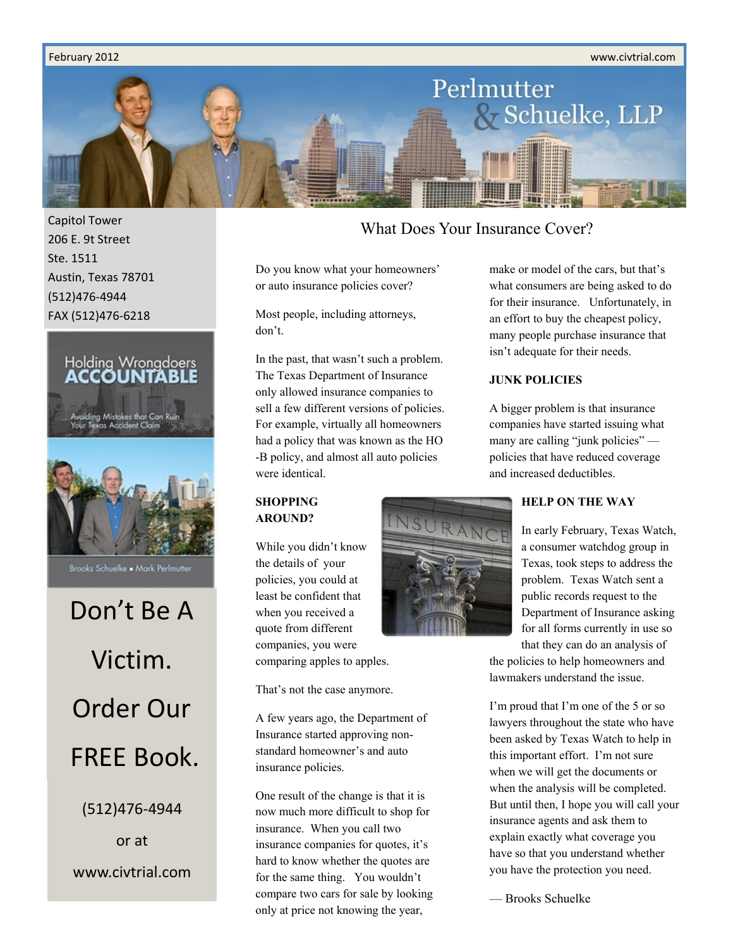#### February 2012 www.civtrial.com



Capitol Tower 206 E. 9t Street Ste. 1511 Austin, Texas 78701 (512)476-4944 FAX (512)476-6218



Don't Be A Victim. Order Our FREE Book. (512)476-4944

or at www.civtrial.com

### What Does Your Insurance Cover?

Do you know what your homeowners' or auto insurance policies cover?

Most people, including attorneys, don't.

In the past, that wasn't such a problem. The Texas Department of Insurance only allowed insurance companies to sell a few different versions of policies. For example, virtually all homeowners had a policy that was known as the HO -B policy, and almost all auto policies were identical.

### **SHOPPING AROUND?**

While you didn't know the details of your policies, you could at least be confident that when you received a quote from different companies, you were comparing apples to apples.

That's not the case anymore.

A few years ago, the Department of Insurance started approving nonstandard homeowner's and auto insurance policies.

One result of the change is that it is now much more difficult to shop for insurance. When you call two insurance companies for quotes, it's hard to know whether the quotes are for the same thing. You wouldn't compare two cars for sale by looking only at price not knowing the year,



make or model of the cars, but that's what consumers are being asked to do for their insurance. Unfortunately, in an effort to buy the cheapest policy, many people purchase insurance that isn't adequate for their needs.

#### **JUNK POLICIES**

A bigger problem is that insurance companies have started issuing what many are calling "junk policies" policies that have reduced coverage and increased deductibles.

### **HELP ON THE WAY**

In early February, Texas Watch, a consumer watchdog group in Texas, took steps to address the problem. Texas Watch sent a public records request to the Department of Insurance asking for all forms currently in use so that they can do an analysis of

the policies to help homeowners and lawmakers understand the issue.

I'm proud that I'm one of the 5 or so lawyers throughout the state who have been asked by Texas Watch to help in this important effort. I'm not sure when we will get the documents or when the analysis will be completed. But until then, I hope you will call your insurance agents and ask them to explain exactly what coverage you have so that you understand whether you have the protection you need.

— Brooks Schuelke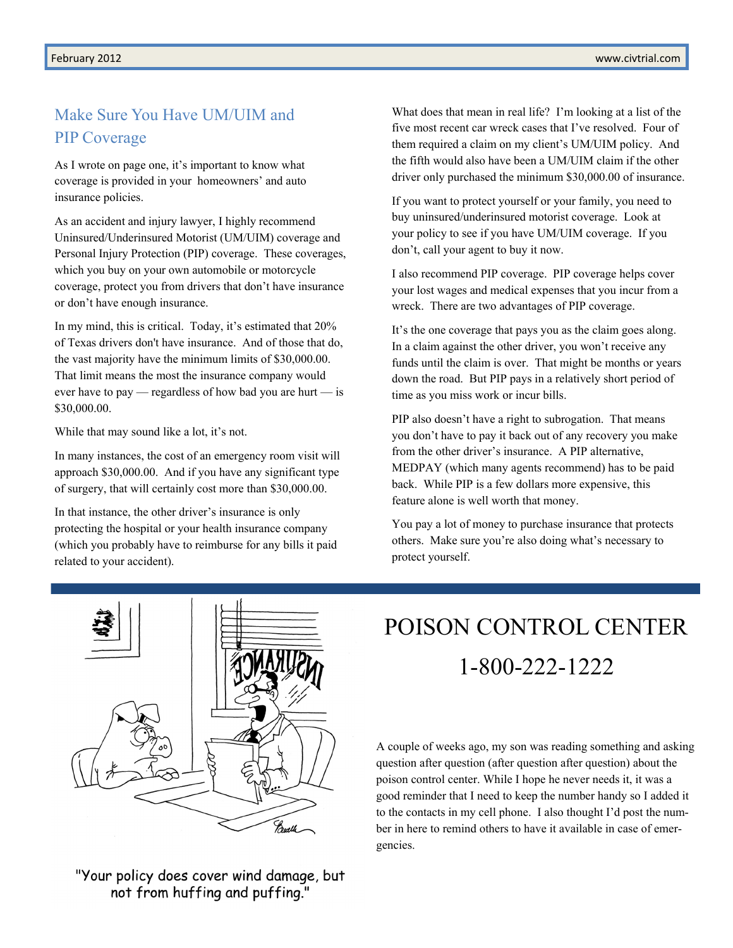### Make Sure You Have UM/UIM and PIP Coverage

As I wrote on page one, it's important to know what coverage is provided in your homeowners' and auto insurance policies.

As an accident and injury lawyer, I highly recommend Uninsured/Underinsured Motorist (UM/UIM) coverage and Personal Injury Protection (PIP) coverage. These coverages, which you buy on your own automobile or motorcycle coverage, protect you from drivers that don't have insurance or don't have enough insurance.

In my mind, this is critical. Today, it's estimated that 20% of Texas drivers don't have insurance. And of those that do, the vast majority have the minimum limits of \$30,000.00. That limit means the most the insurance company would ever have to pay — regardless of how bad you are hurt — is \$30,000.00.

While that may sound like a lot, it's not.

In many instances, the cost of an emergency room visit will approach \$30,000.00. And if you have any significant type of surgery, that will certainly cost more than \$30,000.00.

In that instance, the other driver's insurance is only protecting the hospital or your health insurance company (which you probably have to reimburse for any bills it paid related to your accident).

What does that mean in real life? I'm looking at a list of the five most recent car wreck cases that I've resolved. Four of them required a claim on my client's UM/UIM policy. And the fifth would also have been a UM/UIM claim if the other driver only purchased the minimum \$30,000.00 of insurance.

If you want to protect yourself or your family, you need to buy uninsured/underinsured motorist coverage. Look at your policy to see if you have UM/UIM coverage. If you don't, call your agent to buy it now.

I also recommend PIP coverage. PIP coverage helps cover your lost wages and medical expenses that you incur from a wreck. There are two advantages of PIP coverage.

It's the one coverage that pays you as the claim goes along. In a claim against the other driver, you won't receive any funds until the claim is over. That might be months or years down the road. But PIP pays in a relatively short period of time as you miss work or incur bills.

PIP also doesn't have a right to subrogation. That means you don't have to pay it back out of any recovery you make from the other driver's insurance. A PIP alternative, MEDPAY (which many agents recommend) has to be paid back. While PIP is a few dollars more expensive, this feature alone is well worth that money.

You pay a lot of money to purchase insurance that protects others. Make sure you're also doing what's necessary to protect yourself.



"Your policy does cover wind damage, but not from huffing and puffing."

# POISON CONTROL CENTER 1-800-222-1222

A couple of weeks ago, my son was reading something and asking question after question (after question after question) about the poison control center. While I hope he never needs it, it was a good reminder that I need to keep the number handy so I added it to the contacts in my cell phone. I also thought I'd post the number in here to remind others to have it available in case of emergencies.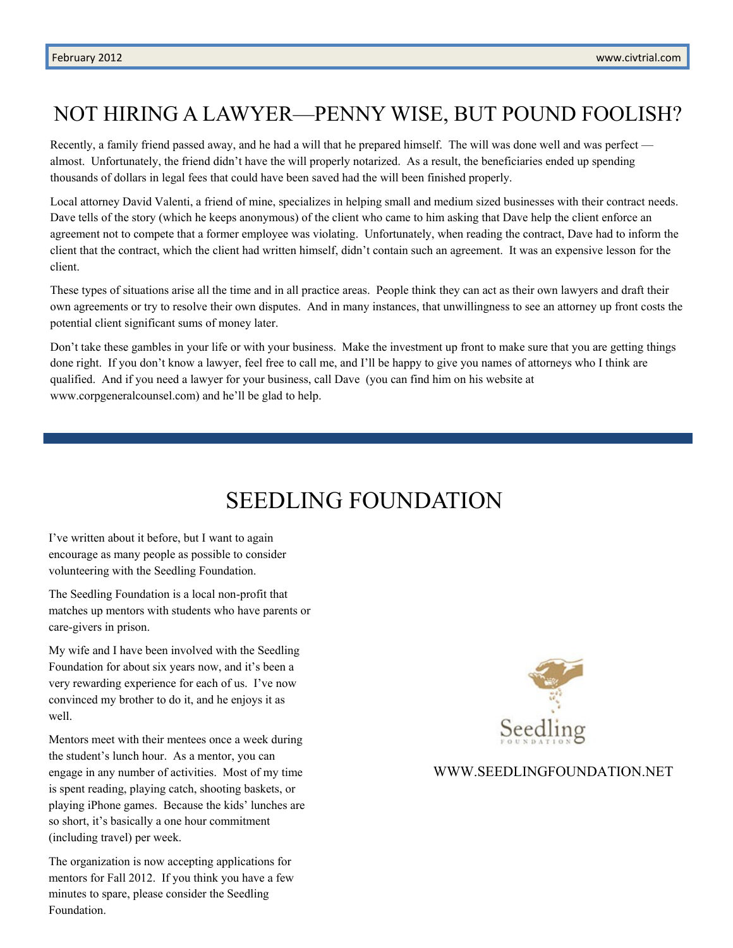### NOT HIRING A LAWYER—PENNY WISE, BUT POUND FOOLISH?

Recently, a family friend passed away, and he had a will that he prepared himself. The will was done well and was perfect almost. Unfortunately, the friend didn't have the will properly notarized. As a result, the beneficiaries ended up spending thousands of dollars in legal fees that could have been saved had the will been finished properly.

Local attorney David Valenti, a friend of mine, specializes in helping small and medium sized businesses with their contract needs. Dave tells of the story (which he keeps anonymous) of the client who came to him asking that Dave help the client enforce an agreement not to compete that a former employee was violating. Unfortunately, when reading the contract, Dave had to inform the client that the contract, which the client had written himself, didn't contain such an agreement. It was an expensive lesson for the client.

These types of situations arise all the time and in all practice areas. People think they can act as their own lawyers and draft their own agreements or try to resolve their own disputes. And in many instances, that unwillingness to see an attorney up front costs the potential client significant sums of money later.

Don't take these gambles in your life or with your business. Make the investment up front to make sure that you are getting things done right. If you don't know a lawyer, feel free to call me, and I'll be happy to give you names of attorneys who I think are qualified. And if you need a lawyer for your business, call Dave (you can find him on his website at www.corpgeneralcounsel.com) and he'll be glad to help.

## SEEDLING FOUNDATION

I've written about it before, but I want to again encourage as many people as possible to consider volunteering with the Seedling Foundation.

The Seedling Foundation is a local non-profit that matches up mentors with students who have parents or care-givers in prison.

My wife and I have been involved with the Seedling Foundation for about six years now, and it's been a very rewarding experience for each of us. I've now convinced my brother to do it, and he enjoys it as well.

Mentors meet with their mentees once a week during the student's lunch hour. As a mentor, you can engage in any number of activities. Most of my time is spent reading, playing catch, shooting baskets, or playing iPhone games. Because the kids' lunches are so short, it's basically a one hour commitment (including travel) per week.

The organization is now accepting applications for mentors for Fall 2012. If you think you have a few minutes to spare, please consider the Seedling Foundation.



#### WWW.SEEDLINGFOUNDATION.NET